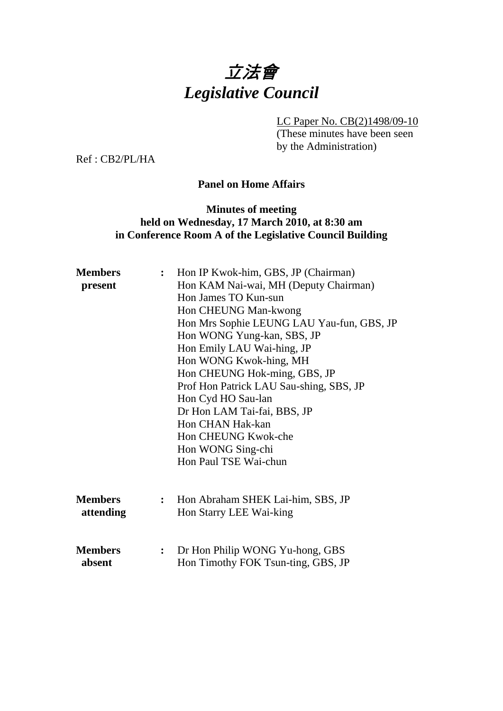# 立法會 *Legislative Council*

LC Paper No. CB(2)1498/09-10

(These minutes have been seen by the Administration)

Ref : CB2/PL/HA

# **Panel on Home Affairs**

# **Minutes of meeting held on Wednesday, 17 March 2010, at 8:30 am in Conference Room A of the Legislative Council Building**

| <b>Members</b><br>present | Hon IP Kwok-him, GBS, JP (Chairman)<br>$\ddot{\cdot}$<br>Hon KAM Nai-wai, MH (Deputy Chairman) |                                           |  |
|---------------------------|------------------------------------------------------------------------------------------------|-------------------------------------------|--|
|                           |                                                                                                | Hon James TO Kun-sun                      |  |
|                           |                                                                                                | Hon CHEUNG Man-kwong                      |  |
|                           |                                                                                                | Hon Mrs Sophie LEUNG LAU Yau-fun, GBS, JP |  |
|                           |                                                                                                | Hon WONG Yung-kan, SBS, JP                |  |
|                           |                                                                                                | Hon Emily LAU Wai-hing, JP                |  |
|                           |                                                                                                | Hon WONG Kwok-hing, MH                    |  |
|                           |                                                                                                | Hon CHEUNG Hok-ming, GBS, JP              |  |
|                           |                                                                                                | Prof Hon Patrick LAU Sau-shing, SBS, JP   |  |
|                           |                                                                                                | Hon Cyd HO Sau-lan                        |  |
|                           |                                                                                                | Dr Hon LAM Tai-fai, BBS, JP               |  |
|                           |                                                                                                | Hon CHAN Hak-kan                          |  |
|                           |                                                                                                | Hon CHEUNG Kwok-che                       |  |
|                           |                                                                                                | Hon WONG Sing-chi                         |  |
|                           |                                                                                                | Hon Paul TSE Wai-chun                     |  |
|                           |                                                                                                |                                           |  |
|                           |                                                                                                |                                           |  |
| <b>Members</b>            | $\ddot{\cdot}$                                                                                 | Hon Abraham SHEK Lai-him, SBS, JP         |  |
| attending                 |                                                                                                | Hon Starry LEE Wai-king                   |  |
|                           |                                                                                                |                                           |  |
|                           |                                                                                                |                                           |  |
| <b>Members</b>            | $\rlap{.}{\bm{\cdot}}$                                                                         | Dr Hon Philip WONG Yu-hong, GBS           |  |
| absent                    |                                                                                                | Hon Timothy FOK Tsun-ting, GBS, JP        |  |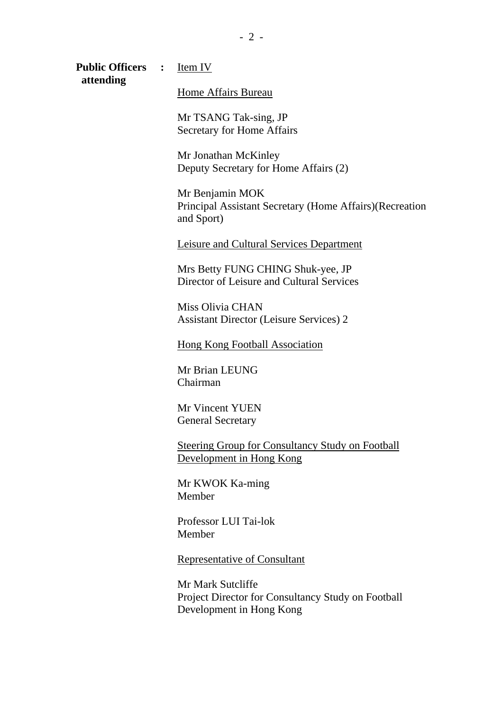**Public Officers :** Item IV  **attending** 

Home Affairs Bureau

 Mr TSANG Tak-sing, JP Secretary for Home Affairs

 Mr Jonathan McKinley Deputy Secretary for Home Affairs (2)

 Mr Benjamin MOK Principal Assistant Secretary (Home Affairs)(Recreation and Sport)

Leisure and Cultural Services Department

 Mrs Betty FUNG CHING Shuk-yee, JP Director of Leisure and Cultural Services

 Miss Olivia CHAN Assistant Director (Leisure Services) 2

Hong Kong Football Association

 Mr Brian LEUNG Chairman

 Mr Vincent YUEN General Secretary

 Steering Group for Consultancy Study on Football Development in Hong Kong

 Mr KWOK Ka-ming Member

 Professor LUI Tai-lok Member

Representative of Consultant

 Mr Mark Sutcliffe Project Director for Consultancy Study on Football Development in Hong Kong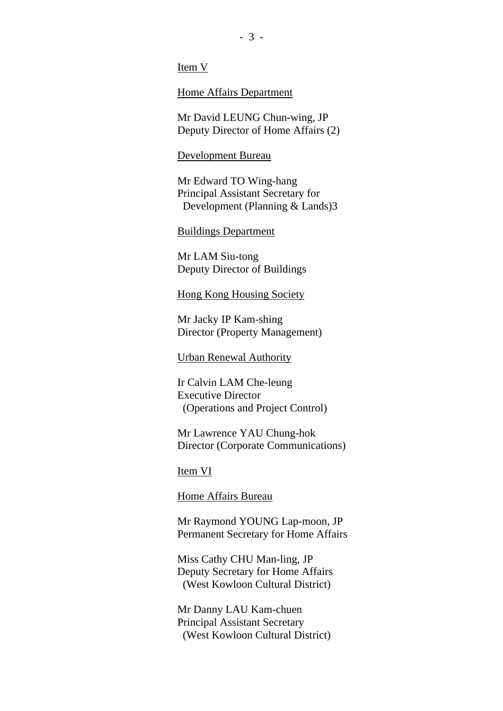Item V

Home Affairs Department

 Mr David LEUNG Chun-wing, JP Deputy Director of Home Affairs (2)

#### Development Bureau

 Mr Edward TO Wing-hang Principal Assistant Secretary for Development (Planning & Lands)3

### Buildings Department

 Mr LAM Siu-tong Deputy Director of Buildings

#### Hong Kong Housing Society

 Mr Jacky IP Kam-shing Director (Property Management)

Urban Renewal Authority

 Ir Calvin LAM Che-leung Executive Director (Operations and Project Control)

 Mr Lawrence YAU Chung-hok Director (Corporate Communications)

Item VI

Home Affairs Bureau

 Mr Raymond YOUNG Lap-moon, JP Permanent Secretary for Home Affairs

 Miss Cathy CHU Man-ling, JP Deputy Secretary for Home Affairs (West Kowloon Cultural District)

 Mr Danny LAU Kam-chuen Principal Assistant Secretary (West Kowloon Cultural District)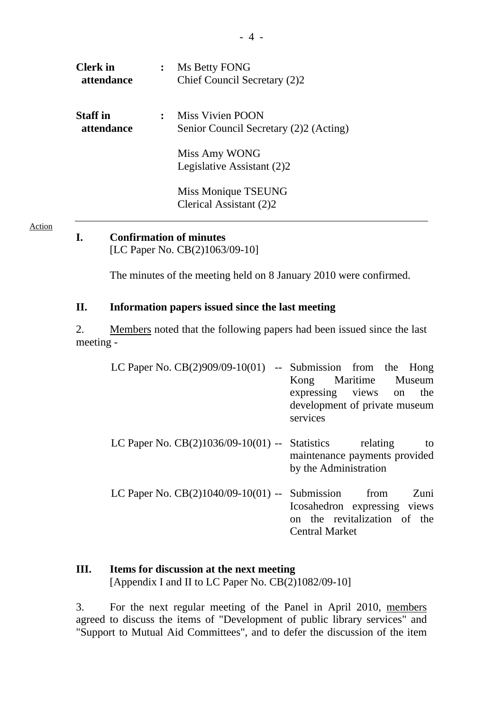| <b>Clerk</b> in<br>attendance | Ms Betty FONG<br>Chief Council Secretary (2)2                      |
|-------------------------------|--------------------------------------------------------------------|
| <b>Staff</b> in<br>attendance | <b>Miss Vivien POON</b><br>Senior Council Secretary (2)2 (Acting)  |
|                               | Miss Amy WONG<br>Legislative Assistant (2)2<br>Miss Monique TSEUNG |
|                               | Clerical Assistant (2)2                                            |

**I. Confirmation of minutes** 

[LC Paper No. CB(2)1063/09-10]

The minutes of the meeting held on 8 January 2010 were confirmed.

## **II. Information papers issued since the last meeting**

2. Members noted that the following papers had been issued since the last meeting -

| LC Paper No. $CB(2)909/09-10(01)$ -- Submission from the Hong |                               |
|---------------------------------------------------------------|-------------------------------|
|                                                               | Kong Maritime Museum          |
|                                                               | expressing views on<br>the    |
|                                                               | development of private museum |
|                                                               | services                      |
|                                                               |                               |
| LC Paper No. $CB(2)1036/09-10(01)$ -- Statistics relating     | to                            |
|                                                               | maintenance payments provided |
|                                                               | by the Administration         |
| LC Paper No. $CB(2)1040/09-10(01)$ -- Submission from         | Zuni                          |
|                                                               | Icosahedron expressing views  |
|                                                               | on the revitalization of the  |
|                                                               | <b>Central Market</b>         |
|                                                               |                               |

## **III. Items for discussion at the next meeting**  [Appendix I and II to LC Paper No. CB(2)1082/09-10]

3. For the next regular meeting of the Panel in April 2010, members agreed to discuss the items of "Development of public library services" and "Support to Mutual Aid Committees", and to defer the discussion of the item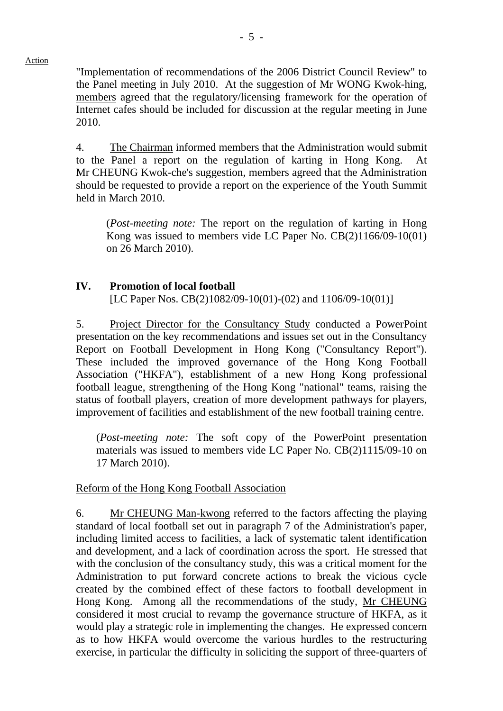"Implementation of recommendations of the 2006 District Council Review" to the Panel meeting in July 2010. At the suggestion of Mr WONG Kwok-hing, members agreed that the regulatory/licensing framework for the operation of Internet cafes should be included for discussion at the regular meeting in June 2010.

4. The Chairman informed members that the Administration would submit to the Panel a report on the regulation of karting in Hong Kong. At Mr CHEUNG Kwok-che's suggestion, members agreed that the Administration should be requested to provide a report on the experience of the Youth Summit held in March 2010.

(*Post-meeting note:* The report on the regulation of karting in Hong Kong was issued to members vide LC Paper No. CB(2)1166/09-10(01) on 26 March 2010).

## **IV. Promotion of local football**

[LC Paper Nos. CB(2)1082/09-10(01)-(02) and 1106/09-10(01)]

5. Project Director for the Consultancy Study conducted a PowerPoint presentation on the key recommendations and issues set out in the Consultancy Report on Football Development in Hong Kong ("Consultancy Report"). These included the improved governance of the Hong Kong Football Association ("HKFA"), establishment of a new Hong Kong professional football league, strengthening of the Hong Kong "national" teams, raising the status of football players, creation of more development pathways for players, improvement of facilities and establishment of the new football training centre.

(*Post-meeting note:* The soft copy of the PowerPoint presentation materials was issued to members vide LC Paper No. CB(2)1115/09-10 on 17 March 2010).

#### Reform of the Hong Kong Football Association

6. Mr CHEUNG Man-kwong referred to the factors affecting the playing standard of local football set out in paragraph 7 of the Administration's paper, including limited access to facilities, a lack of systematic talent identification and development, and a lack of coordination across the sport. He stressed that with the conclusion of the consultancy study, this was a critical moment for the Administration to put forward concrete actions to break the vicious cycle created by the combined effect of these factors to football development in Hong Kong. Among all the recommendations of the study, Mr CHEUNG considered it most crucial to revamp the governance structure of HKFA, as it would play a strategic role in implementing the changes. He expressed concern as to how HKFA would overcome the various hurdles to the restructuring exercise, in particular the difficulty in soliciting the support of three-quarters of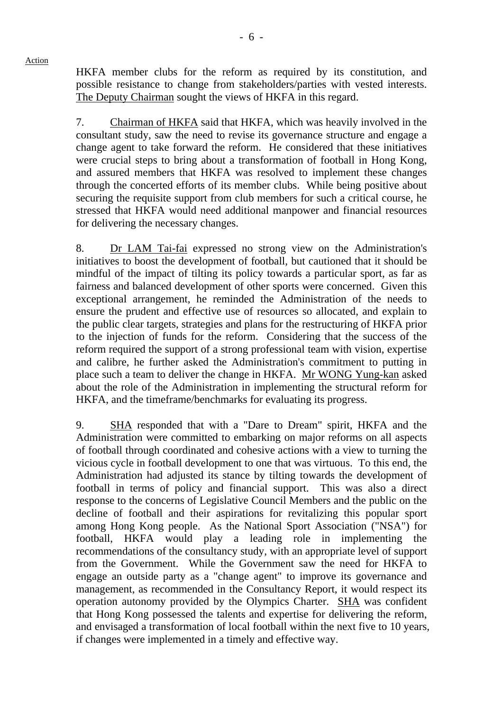HKFA member clubs for the reform as required by its constitution, and possible resistance to change from stakeholders/parties with vested interests. The Deputy Chairman sought the views of HKFA in this regard.

7. Chairman of HKFA said that HKFA, which was heavily involved in the consultant study, saw the need to revise its governance structure and engage a change agent to take forward the reform. He considered that these initiatives were crucial steps to bring about a transformation of football in Hong Kong, and assured members that HKFA was resolved to implement these changes through the concerted efforts of its member clubs. While being positive about securing the requisite support from club members for such a critical course, he stressed that HKFA would need additional manpower and financial resources for delivering the necessary changes.

8. Dr LAM Tai-fai expressed no strong view on the Administration's initiatives to boost the development of football, but cautioned that it should be mindful of the impact of tilting its policy towards a particular sport, as far as fairness and balanced development of other sports were concerned. Given this exceptional arrangement, he reminded the Administration of the needs to ensure the prudent and effective use of resources so allocated, and explain to the public clear targets, strategies and plans for the restructuring of HKFA prior to the injection of funds for the reform. Considering that the success of the reform required the support of a strong professional team with vision, expertise and calibre, he further asked the Administration's commitment to putting in place such a team to deliver the change in HKFA. Mr WONG Yung-kan asked about the role of the Administration in implementing the structural reform for HKFA, and the timeframe/benchmarks for evaluating its progress.

9. SHA responded that with a "Dare to Dream" spirit, HKFA and the Administration were committed to embarking on major reforms on all aspects of football through coordinated and cohesive actions with a view to turning the vicious cycle in football development to one that was virtuous. To this end, the Administration had adjusted its stance by tilting towards the development of football in terms of policy and financial support. This was also a direct response to the concerns of Legislative Council Members and the public on the decline of football and their aspirations for revitalizing this popular sport among Hong Kong people. As the National Sport Association ("NSA") for football, HKFA would play a leading role in implementing the recommendations of the consultancy study, with an appropriate level of support from the Government. While the Government saw the need for HKFA to engage an outside party as a "change agent" to improve its governance and management, as recommended in the Consultancy Report, it would respect its operation autonomy provided by the Olympics Charter. SHA was confident that Hong Kong possessed the talents and expertise for delivering the reform, and envisaged a transformation of local football within the next five to 10 years, if changes were implemented in a timely and effective way.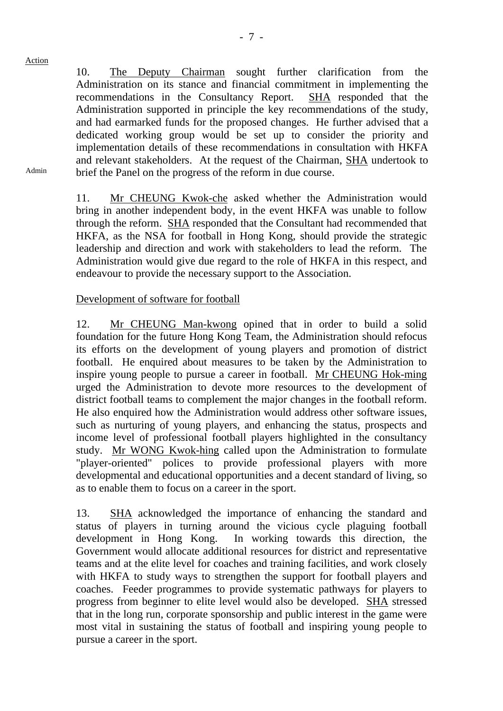10. The Deputy Chairman sought further clarification from the Administration on its stance and financial commitment in implementing the recommendations in the Consultancy Report. SHA responded that the Administration supported in principle the key recommendations of the study, and had earmarked funds for the proposed changes. He further advised that a dedicated working group would be set up to consider the priority and implementation details of these recommendations in consultation with HKFA and relevant stakeholders. At the request of the Chairman, SHA undertook to brief the Panel on the progress of the reform in due course.

11. Mr CHEUNG Kwok-che asked whether the Administration would bring in another independent body, in the event HKFA was unable to follow through the reform. SHA responded that the Consultant had recommended that HKFA, as the NSA for football in Hong Kong, should provide the strategic leadership and direction and work with stakeholders to lead the reform. The Administration would give due regard to the role of HKFA in this respect, and endeavour to provide the necessary support to the Association.

# Development of software for football

12. Mr CHEUNG Man-kwong opined that in order to build a solid foundation for the future Hong Kong Team, the Administration should refocus its efforts on the development of young players and promotion of district football. He enquired about measures to be taken by the Administration to inspire young people to pursue a career in football. Mr CHEUNG Hok-ming urged the Administration to devote more resources to the development of district football teams to complement the major changes in the football reform. He also enquired how the Administration would address other software issues, such as nurturing of young players, and enhancing the status, prospects and income level of professional football players highlighted in the consultancy study. Mr WONG Kwok-hing called upon the Administration to formulate "player-oriented" polices to provide professional players with more developmental and educational opportunities and a decent standard of living, so as to enable them to focus on a career in the sport.

13. SHA acknowledged the importance of enhancing the standard and status of players in turning around the vicious cycle plaguing football development in Hong Kong. In working towards this direction, the Government would allocate additional resources for district and representative teams and at the elite level for coaches and training facilities, and work closely with HKFA to study ways to strengthen the support for football players and coaches. Feeder programmes to provide systematic pathways for players to progress from beginner to elite level would also be developed. SHA stressed that in the long run, corporate sponsorship and public interest in the game were most vital in sustaining the status of football and inspiring young people to pursue a career in the sport.

Admin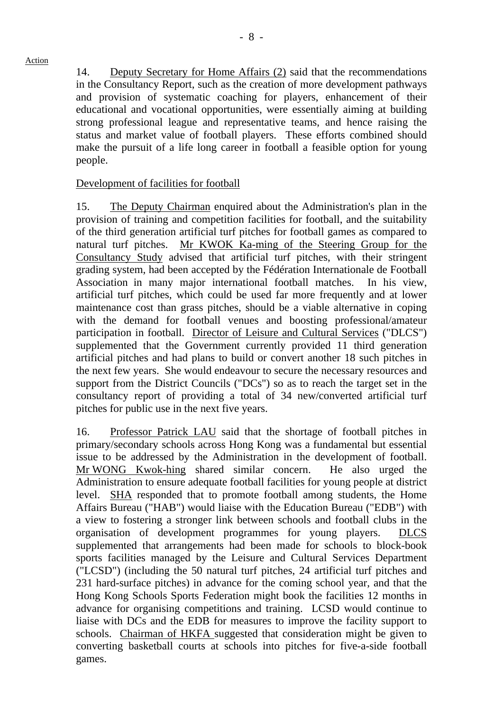14. Deputy Secretary for Home Affairs (2) said that the recommendations in the Consultancy Report, such as the creation of more development pathways and provision of systematic coaching for players, enhancement of their educational and vocational opportunities, were essentially aiming at building strong professional league and representative teams, and hence raising the status and market value of football players. These efforts combined should make the pursuit of a life long career in football a feasible option for young people.

## Development of facilities for football

15. The Deputy Chairman enquired about the Administration's plan in the provision of training and competition facilities for football, and the suitability of the third generation artificial turf pitches for football games as compared to natural turf pitches. Mr KWOK Ka-ming of the Steering Group for the Consultancy Study advised that artificial turf pitches, with their stringent grading system, had been accepted by the Fédération Internationale de Football Association in many major international football matches. In his view, artificial turf pitches, which could be used far more frequently and at lower maintenance cost than grass pitches, should be a viable alternative in coping with the demand for football venues and boosting professional/amateur participation in football. Director of Leisure and Cultural Services ("DLCS") supplemented that the Government currently provided 11 third generation artificial pitches and had plans to build or convert another 18 such pitches in the next few years. She would endeavour to secure the necessary resources and support from the District Councils ("DCs") so as to reach the target set in the consultancy report of providing a total of 34 new/converted artificial turf pitches for public use in the next five years.

16. Professor Patrick LAU said that the shortage of football pitches in primary/secondary schools across Hong Kong was a fundamental but essential issue to be addressed by the Administration in the development of football. Mr WONG Kwok-hing shared similar concern. He also urged the Administration to ensure adequate football facilities for young people at district level. SHA responded that to promote football among students, the Home Affairs Bureau ("HAB") would liaise with the Education Bureau ("EDB") with a view to fostering a stronger link between schools and football clubs in the organisation of development programmes for young players. DLCS supplemented that arrangements had been made for schools to block-book sports facilities managed by the Leisure and Cultural Services Department ("LCSD") (including the 50 natural turf pitches, 24 artificial turf pitches and 231 hard-surface pitches) in advance for the coming school year, and that the Hong Kong Schools Sports Federation might book the facilities 12 months in advance for organising competitions and training. LCSD would continue to liaise with DCs and the EDB for measures to improve the facility support to schools. Chairman of HKFA suggested that consideration might be given to converting basketball courts at schools into pitches for five-a-side football games.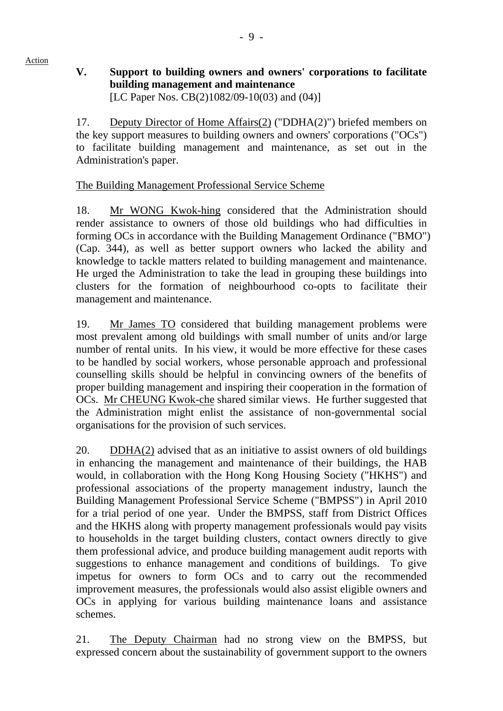## **V. Support to building owners and owners' corporations to facilitate building management and maintenance**  [LC Paper Nos. CB(2)1082/09-10(03) and (04)]

17. Deputy Director of Home Affairs(2) ("DDHA(2)") briefed members on the key support measures to building owners and owners' corporations ("OCs") to facilitate building management and maintenance, as set out in the Administration's paper.

# The Building Management Professional Service Scheme

Action

18. Mr WONG Kwok-hing considered that the Administration should render assistance to owners of those old buildings who had difficulties in forming OCs in accordance with the Building Management Ordinance ("BMO") (Cap. 344), as well as better support owners who lacked the ability and knowledge to tackle matters related to building management and maintenance. He urged the Administration to take the lead in grouping these buildings into clusters for the formation of neighbourhood co-opts to facilitate their management and maintenance.

19. Mr James TO considered that building management problems were most prevalent among old buildings with small number of units and/or large number of rental units. In his view, it would be more effective for these cases to be handled by social workers, whose personable approach and professional counselling skills should be helpful in convincing owners of the benefits of proper building management and inspiring their cooperation in the formation of OCs. Mr CHEUNG Kwok-che shared similar views. He further suggested that the Administration might enlist the assistance of non-governmental social organisations for the provision of such services.

20. DDHA(2) advised that as an initiative to assist owners of old buildings in enhancing the management and maintenance of their buildings, the HAB would, in collaboration with the Hong Kong Housing Society ("HKHS") and professional associations of the property management industry, launch the Building Management Professional Service Scheme ("BMPSS") in April 2010 for a trial period of one year. Under the BMPSS, staff from District Offices and the HKHS along with property management professionals would pay visits to households in the target building clusters, contact owners directly to give them professional advice, and produce building management audit reports with suggestions to enhance management and conditions of buildings. To give impetus for owners to form OCs and to carry out the recommended improvement measures, the professionals would also assist eligible owners and OCs in applying for various building maintenance loans and assistance schemes.

21. The Deputy Chairman had no strong view on the BMPSS, but expressed concern about the sustainability of government support to the owners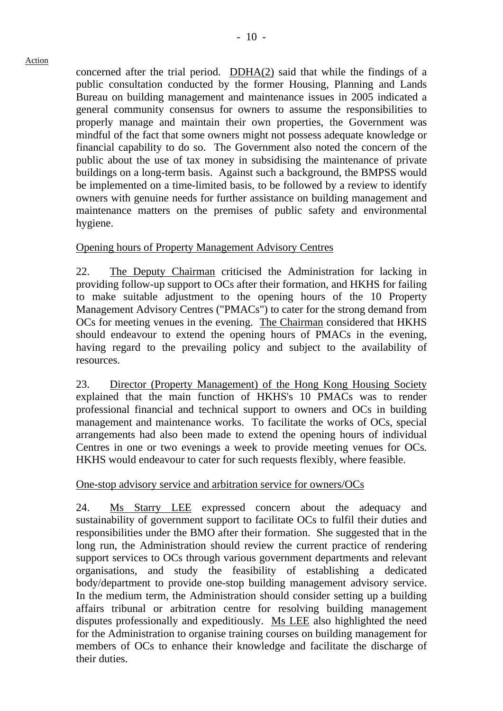concerned after the trial period. DDHA(2) said that while the findings of a public consultation conducted by the former Housing, Planning and Lands Bureau on building management and maintenance issues in 2005 indicated a general community consensus for owners to assume the responsibilities to properly manage and maintain their own properties, the Government was mindful of the fact that some owners might not possess adequate knowledge or financial capability to do so. The Government also noted the concern of the public about the use of tax money in subsidising the maintenance of private buildings on a long-term basis. Against such a background, the BMPSS would be implemented on a time-limited basis, to be followed by a review to identify owners with genuine needs for further assistance on building management and maintenance matters on the premises of public safety and environmental hygiene.

# Opening hours of Property Management Advisory Centres

22. The Deputy Chairman criticised the Administration for lacking in providing follow-up support to OCs after their formation, and HKHS for failing to make suitable adjustment to the opening hours of the 10 Property Management Advisory Centres ("PMACs") to cater for the strong demand from OCs for meeting venues in the evening. The Chairman considered that HKHS should endeavour to extend the opening hours of PMACs in the evening, having regard to the prevailing policy and subject to the availability of resources.

23. Director (Property Management) of the Hong Kong Housing Society explained that the main function of HKHS's 10 PMACs was to render professional financial and technical support to owners and OCs in building management and maintenance works. To facilitate the works of OCs, special arrangements had also been made to extend the opening hours of individual Centres in one or two evenings a week to provide meeting venues for OCs. HKHS would endeavour to cater for such requests flexibly, where feasible.

# One-stop advisory service and arbitration service for owners/OCs

24. Ms Starry LEE expressed concern about the adequacy and sustainability of government support to facilitate OCs to fulfil their duties and responsibilities under the BMO after their formation. She suggested that in the long run, the Administration should review the current practice of rendering support services to OCs through various government departments and relevant organisations, and study the feasibility of establishing a dedicated body/department to provide one-stop building management advisory service. In the medium term, the Administration should consider setting up a building affairs tribunal or arbitration centre for resolving building management disputes professionally and expeditiously. Ms LEE also highlighted the need for the Administration to organise training courses on building management for members of OCs to enhance their knowledge and facilitate the discharge of their duties.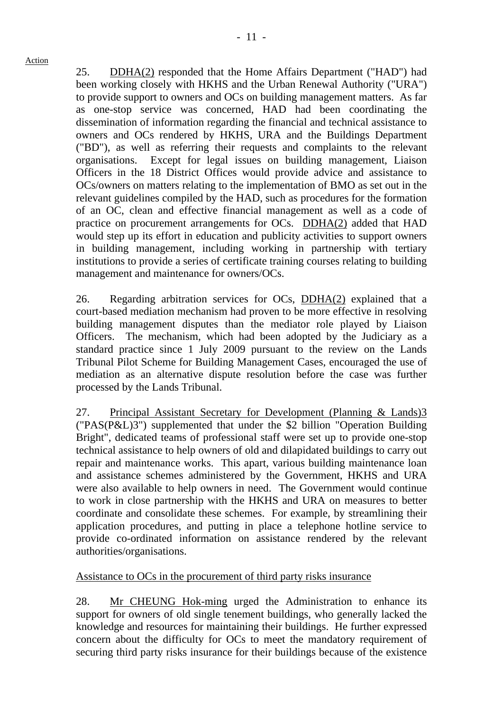25. DDHA(2) responded that the Home Affairs Department ("HAD") had been working closely with HKHS and the Urban Renewal Authority ("URA") to provide support to owners and OCs on building management matters. As far as one-stop service was concerned, HAD had been coordinating the dissemination of information regarding the financial and technical assistance to owners and OCs rendered by HKHS, URA and the Buildings Department ("BD"), as well as referring their requests and complaints to the relevant organisations. Except for legal issues on building management, Liaison Officers in the 18 District Offices would provide advice and assistance to OCs/owners on matters relating to the implementation of BMO as set out in the relevant guidelines compiled by the HAD, such as procedures for the formation of an OC, clean and effective financial management as well as a code of practice on procurement arrangements for OCs. DDHA(2) added that HAD would step up its effort in education and publicity activities to support owners in building management, including working in partnership with tertiary institutions to provide a series of certificate training courses relating to building management and maintenance for owners/OCs.

26. Regarding arbitration services for OCs, DDHA(2) explained that a court-based mediation mechanism had proven to be more effective in resolving building management disputes than the mediator role played by Liaison Officers. The mechanism, which had been adopted by the Judiciary as a standard practice since 1 July 2009 pursuant to the review on the Lands Tribunal Pilot Scheme for Building Management Cases, encouraged the use of mediation as an alternative dispute resolution before the case was further processed by the Lands Tribunal.

27. Principal Assistant Secretary for Development (Planning & Lands)3 ("PAS(P&L)3") supplemented that under the \$2 billion "Operation Building Bright", dedicated teams of professional staff were set up to provide one-stop technical assistance to help owners of old and dilapidated buildings to carry out repair and maintenance works. This apart, various building maintenance loan and assistance schemes administered by the Government, HKHS and URA were also available to help owners in need. The Government would continue to work in close partnership with the HKHS and URA on measures to better coordinate and consolidate these schemes. For example, by streamlining their application procedures, and putting in place a telephone hotline service to provide co-ordinated information on assistance rendered by the relevant authorities/organisations.

Assistance to OCs in the procurement of third party risks insurance

28. Mr CHEUNG Hok-ming urged the Administration to enhance its support for owners of old single tenement buildings, who generally lacked the knowledge and resources for maintaining their buildings. He further expressed concern about the difficulty for OCs to meet the mandatory requirement of securing third party risks insurance for their buildings because of the existence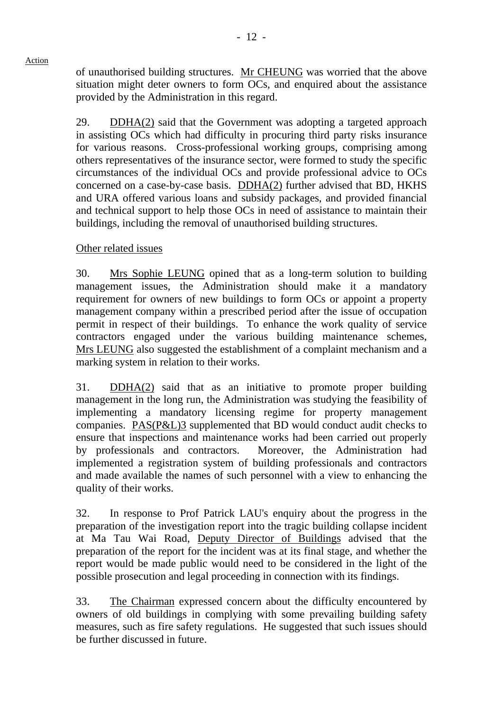of unauthorised building structures. Mr CHEUNG was worried that the above situation might deter owners to form OCs, and enquired about the assistance provided by the Administration in this regard.

29. DDHA(2) said that the Government was adopting a targeted approach in assisting OCs which had difficulty in procuring third party risks insurance for various reasons. Cross-professional working groups, comprising among others representatives of the insurance sector, were formed to study the specific circumstances of the individual OCs and provide professional advice to OCs concerned on a case-by-case basis. DDHA(2) further advised that BD, HKHS and URA offered various loans and subsidy packages, and provided financial and technical support to help those OCs in need of assistance to maintain their buildings, including the removal of unauthorised building structures.

# Other related issues

30. Mrs Sophie LEUNG opined that as a long-term solution to building management issues, the Administration should make it a mandatory requirement for owners of new buildings to form OCs or appoint a property management company within a prescribed period after the issue of occupation permit in respect of their buildings. To enhance the work quality of service contractors engaged under the various building maintenance schemes, Mrs LEUNG also suggested the establishment of a complaint mechanism and a marking system in relation to their works.

31. DDHA(2) said that as an initiative to promote proper building management in the long run, the Administration was studying the feasibility of implementing a mandatory licensing regime for property management companies. PAS(P&L)3 supplemented that BD would conduct audit checks to ensure that inspections and maintenance works had been carried out properly by professionals and contractors. Moreover, the Administration had implemented a registration system of building professionals and contractors and made available the names of such personnel with a view to enhancing the quality of their works.

32. In response to Prof Patrick LAU's enquiry about the progress in the preparation of the investigation report into the tragic building collapse incident at Ma Tau Wai Road, Deputy Director of Buildings advised that the preparation of the report for the incident was at its final stage, and whether the report would be made public would need to be considered in the light of the possible prosecution and legal proceeding in connection with its findings.

33. The Chairman expressed concern about the difficulty encountered by owners of old buildings in complying with some prevailing building safety measures, such as fire safety regulations. He suggested that such issues should be further discussed in future.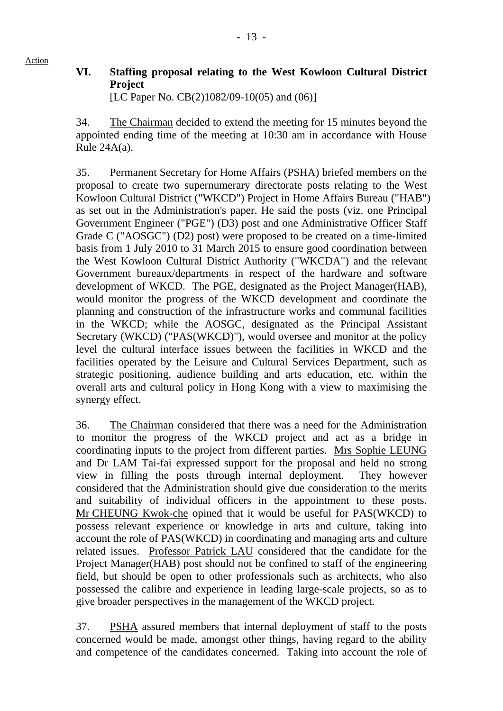**VI. Staffing proposal relating to the West Kowloon Cultural District Project**  [LC Paper No. CB(2)1082/09-10(05) and (06)]

34. The Chairman decided to extend the meeting for 15 minutes beyond the appointed ending time of the meeting at 10:30 am in accordance with House Rule  $24A(a)$ .

35. Permanent Secretary for Home Affairs (PSHA) briefed members on the proposal to create two supernumerary directorate posts relating to the West Kowloon Cultural District ("WKCD") Project in Home Affairs Bureau ("HAB") as set out in the Administration's paper. He said the posts (viz. one Principal Government Engineer ("PGE") (D3) post and one Administrative Officer Staff Grade C ("AOSGC") (D2) post) were proposed to be created on a time-limited basis from 1 July 2010 to 31 March 2015 to ensure good coordination between the West Kowloon Cultural District Authority ("WKCDA") and the relevant Government bureaux/departments in respect of the hardware and software development of WKCD. The PGE, designated as the Project Manager(HAB), would monitor the progress of the WKCD development and coordinate the planning and construction of the infrastructure works and communal facilities in the WKCD; while the AOSGC, designated as the Principal Assistant Secretary (WKCD) ("PAS(WKCD)"), would oversee and monitor at the policy level the cultural interface issues between the facilities in WKCD and the facilities operated by the Leisure and Cultural Services Department, such as strategic positioning, audience building and arts education, etc. within the overall arts and cultural policy in Hong Kong with a view to maximising the synergy effect.

36. The Chairman considered that there was a need for the Administration to monitor the progress of the WKCD project and act as a bridge in coordinating inputs to the project from different parties. Mrs Sophie LEUNG and Dr LAM Tai-fai expressed support for the proposal and held no strong view in filling the posts through internal deployment. They however considered that the Administration should give due consideration to the merits and suitability of individual officers in the appointment to these posts. Mr CHEUNG Kwok-che opined that it would be useful for PAS(WKCD) to possess relevant experience or knowledge in arts and culture, taking into account the role of PAS(WKCD) in coordinating and managing arts and culture related issues. Professor Patrick LAU considered that the candidate for the Project Manager(HAB) post should not be confined to staff of the engineering field, but should be open to other professionals such as architects, who also possessed the calibre and experience in leading large-scale projects, so as to give broader perspectives in the management of the WKCD project.

37. PSHA assured members that internal deployment of staff to the posts concerned would be made, amongst other things, having regard to the ability and competence of the candidates concerned. Taking into account the role of